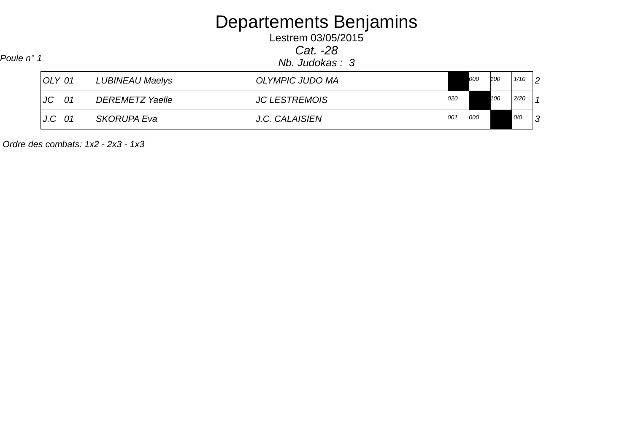# Departements Benjamins Lestrem 03/05/2015

Cat. -28

Nb. Judokas : 3 Poule n° 1

| OLY 01          | LUBINEAU Maelys        | <b>OLYMPIC JUDO MA</b> |     | 000 | 100 | 1/10 | $\overline{2}$ |
|-----------------|------------------------|------------------------|-----|-----|-----|------|----------------|
| <b>JC</b><br>01 | <b>DEREMETZ Yaelle</b> | <b>JC LESTREMOIS</b>   | 020 |     | 100 | 2/20 |                |
| J.C<br>-01      | <b>SKORUPA Eva</b>     | J.C. CALAISIEN         | 001 | 000 |     | O/O  | $\Omega$       |

Ordre des combats: 1x2 - 2x3 - 1x3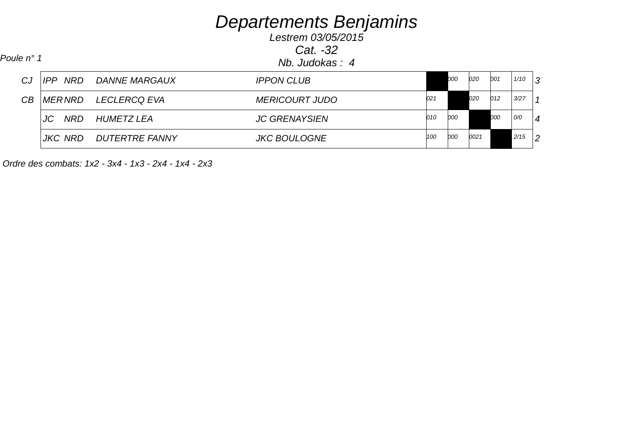Lestrem 03/05/2015Cat. -32

Nb. Judokas : 4 Poule n° 1

| CJ. |                | <b>IPP NRD DANNE MARGAUX</b> | <b>IPPON CLUB</b>     |     | 000 | 020  | 001 | 1/10 | 3              |
|-----|----------------|------------------------------|-----------------------|-----|-----|------|-----|------|----------------|
| CB  |                | MERNRD LECLERCQ EVA          | <i>MERICOURT JUDO</i> | 021 |     | 020  | 012 | 3/27 |                |
|     | JC<br>NRD      | <i>HUMETZ LEA</i>            | <b>JC GRENAYSIEN</b>  | 010 | 000 |      | 000 | O/O  | $\overline{4}$ |
|     | <b>JKC NRD</b> | DUTERTRE FANNY               | <b>JKC BOULOGNE</b>   | 100 | 000 | 0021 |     | 2/15 | $\overline{2}$ |

Ordre des combats: 1x2 - 3x4 - 1x3 - 2x4 - 1x4 - 2x3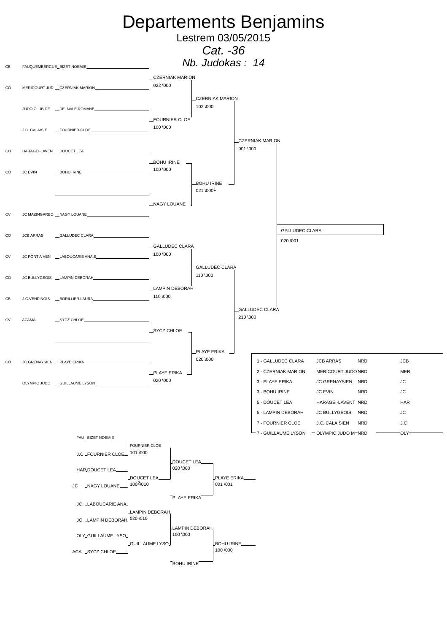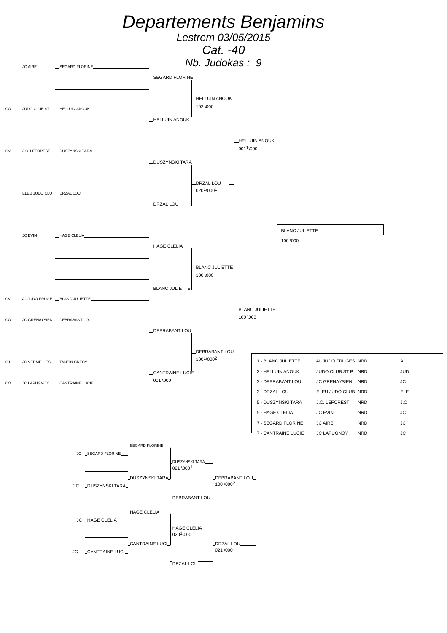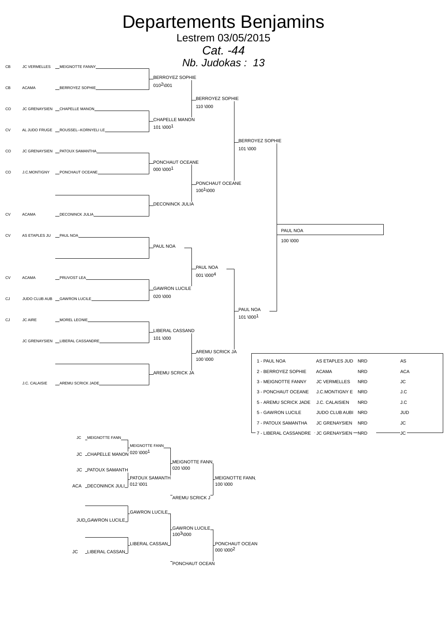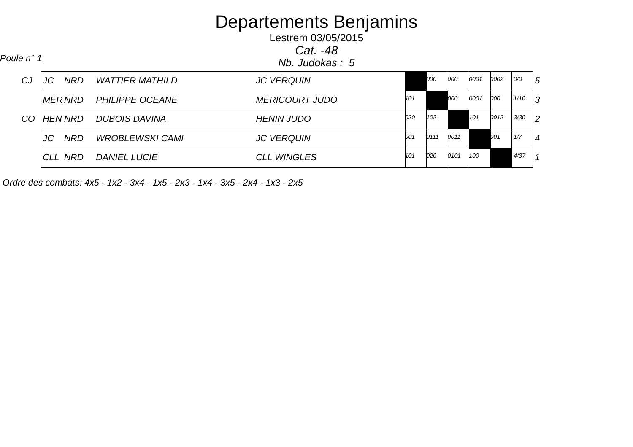Lestrem 03/05/2015Cat. -48

 Nb. Judokas : 5 Poule n° 1 CJ JC NRD WATTIER MATHILD $D$  JC VERQUIN 000 000 0001 0002 000 5 MERNRD PHILIPPE OCEANE $MERICOURT JUDO$   $|101$  000 0001 000 1/10 3 CO HEN NRD DUBOIS DAVINA HENIN JUDO 3/30 <sup>2</sup> <sup>020</sup> <sup>102</sup> <sup>101</sup> <sup>0012</sup> JC NRD WROBLEWSKI CAMI $JC VERQUIN$   $|001$   $|0111$   $|0011$   $|0011$   $|17$   $|4$  <sup>001</sup> <sup>0111</sup> <sup>0011</sup> <sup>001</sup> CLL NRD L NRD DANIEL LUCIE CLL WINGLES  $\begin{bmatrix} 101 & 020 & 0101 & 100 \end{bmatrix}$ 

Ordre des combats: 4x5 - 1x2 - 3x4 - 1x5 - 2x3 - 1x4 - 3x5 - 2x4 - 1x3 - 2x5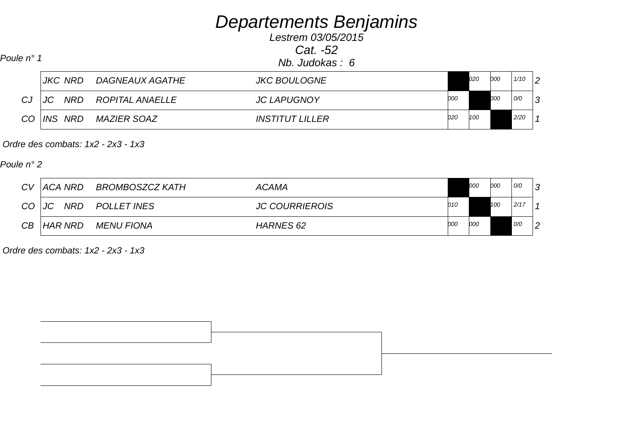Lestrem 03/05/2015Cat. -52

Poule n° 1 Nb. Judokas : 6

|     |    | <b>JKC NRD</b> | DAGNEAUX AGATHE        | <b>JKC BOULOGNE</b>           |     | 020 | 000 | 1/10 | $\overline{2}$ |
|-----|----|----------------|------------------------|-------------------------------|-----|-----|-----|------|----------------|
| CJ. | JC | <b>NRD</b>     | <i>ROPITAL ANAELLE</i> | <b>JC LAPUGNOY</b>            | 000 |     | 000 | 0/0  | 3              |
| CO  |    | INS NRD        | <i>MAZIER SOAZ</i>     | <i><b>INSTITUT LILLER</b></i> | 020 | 100 |     | 2/20 |                |

Ordre des combats: 1x2 - 2x3 - 1x3

Poule n° 2

| <b>CV</b> | '  ACA NRD | BROMBOSZCZ KATH    | <b>ACAMA</b>          |      | 000 | 000 | 0/0   | ຼ              |
|-----------|------------|--------------------|-----------------------|------|-----|-----|-------|----------------|
| $CO$ $JC$ | NRD        | <b>POLLET INES</b> | <b>JC COURRIEROIS</b> | 010  |     | 100 | 12/17 |                |
| CB        | HAR NRD    | MENU FIONA         | <b>HARNES 62</b>      | 100C | 000 |     | O/O   | $\overline{2}$ |

Ordre des combats: 1x2 - 2x3 - 1x3

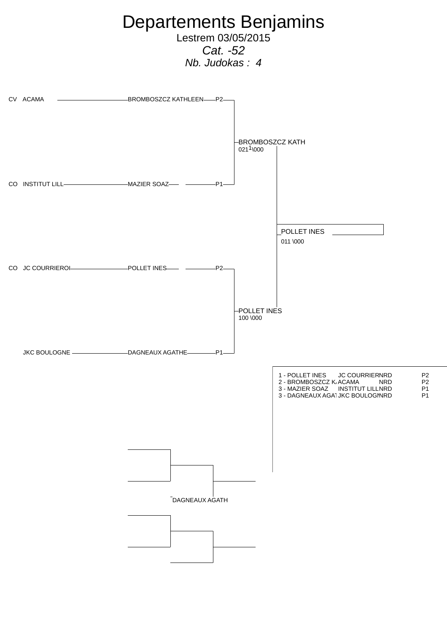

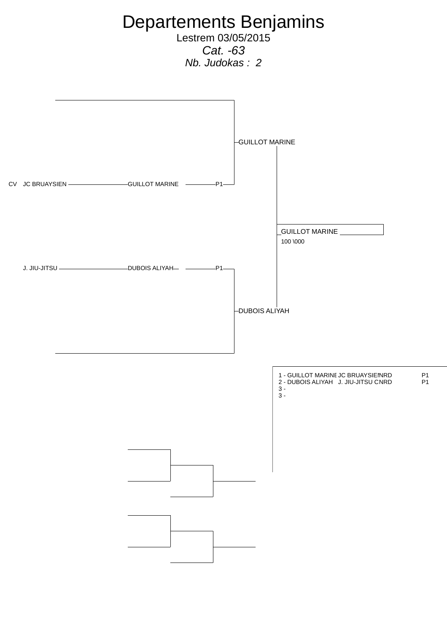Departements Benjamins Lestrem 03/05/2015 Cat. -63 Nb. Judokas : 2 CV JC BRUAYSIEN GUILLOT MARINE P1 J. JIU-JITSU DUBOIS ALIYAH P1 GUILLOT MARINE DUBOIS ALIYAH GUILLOT MARINE 100 \000 1 - GUILLOT MARINE JC BRUAYSIEN NRD P1 2 - DUBOIS ALIYAH J. JIU-JITSU CNRD 3 -  $\overline{3}$  -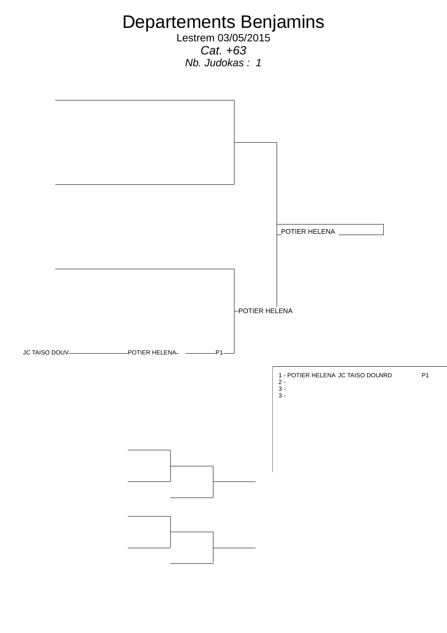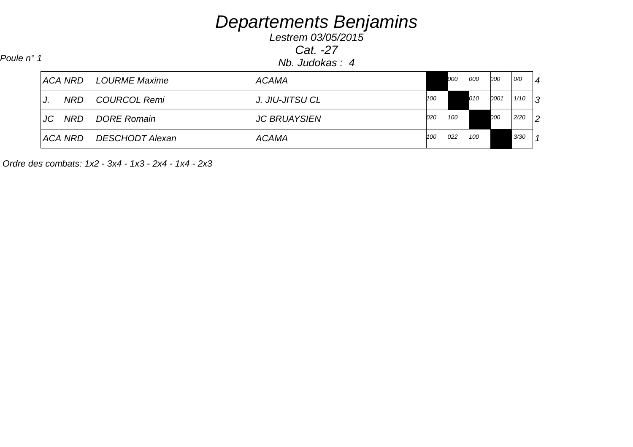Lestrem 03/05/2015Cat. -27Nb. Judokas : 4 Poule n° 1

|    |        | ACA NRD LOURME Maxime   | <b>ACAMA</b>        |     | 000 | 000 | 000  | O/O  | $\overline{4}$ |
|----|--------|-------------------------|---------------------|-----|-----|-----|------|------|----------------|
| J. | NRD    | COURCOL Remi            | J. JIU-JITSU CL     | 100 |     | 010 | 0001 | 1/10 | 3              |
|    | JC NRD | <i>DORE Romain</i>      | <b>JC BRUAYSIEN</b> | 020 | 100 |     | 000  | 2/20 | $\overline{2}$ |
|    |        | ACA NRD DESCHODT Alexan | <b>ACAMA</b>        | 100 | 022 | 100 |      | 3/30 |                |

Ordre des combats: 1x2 - 3x4 - 1x3 - 2x4 - 1x4 - 2x3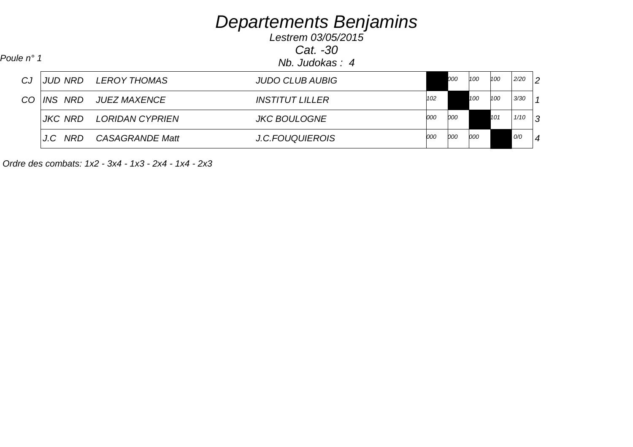Lestrem 03/05/2015Cat. -30

Nb. Judokas : 4 Poule n° 1

| CJ  |         | JUD NRD LEROY THOMAS   | <b>JUDO CLUB AUBIG</b>        |            | 000 | 100 | 100 | 2/20 | $\overline{2}$ |
|-----|---------|------------------------|-------------------------------|------------|-----|-----|-----|------|----------------|
| CO. | INS NRD | <i>JUEZ MAXENCE</i>    | <i><b>INSTITUT LILLER</b></i> | 102        |     | 100 | 100 | 3/30 | $\overline{1}$ |
|     | JKC NRD | LORIDAN CYPRIEN        | <b>JKC BOULOGNE</b>           | <i>000</i> | 000 |     | 101 | 1/10 | 3              |
|     | J.C NRD | <b>CASAGRANDE Matt</b> | <b>J.C.FOUQUIEROIS</b>        | <i>000</i> | 000 | 000 |     | O/O  | $\overline{4}$ |

Ordre des combats: 1x2 - 3x4 - 1x3 - 2x4 - 1x4 - 2x3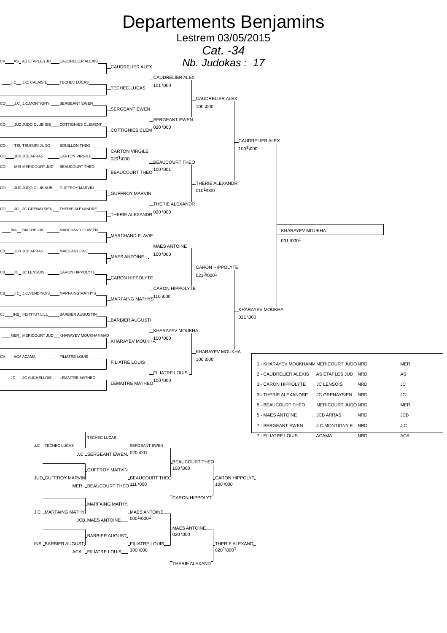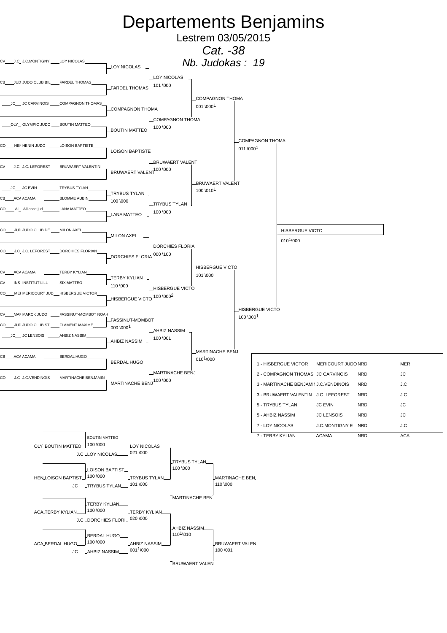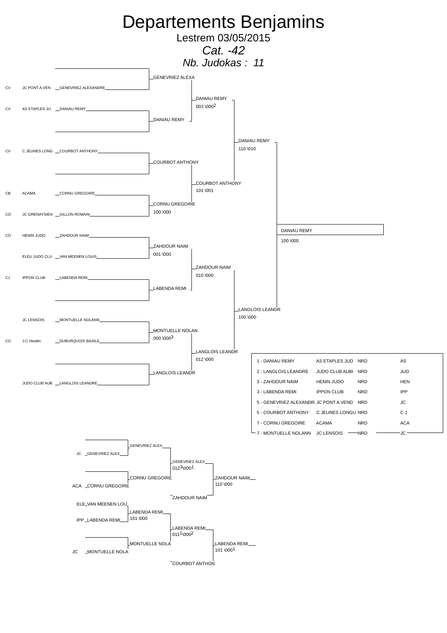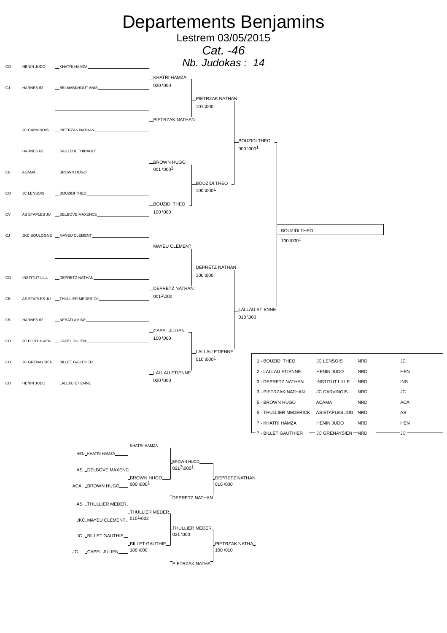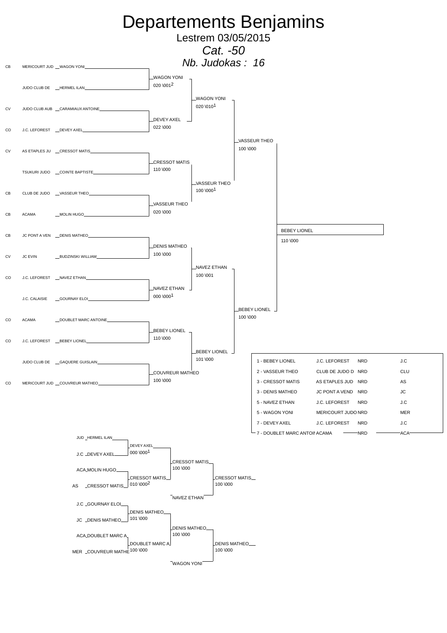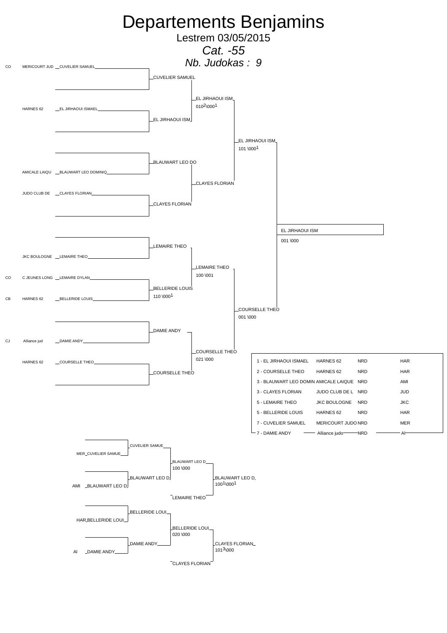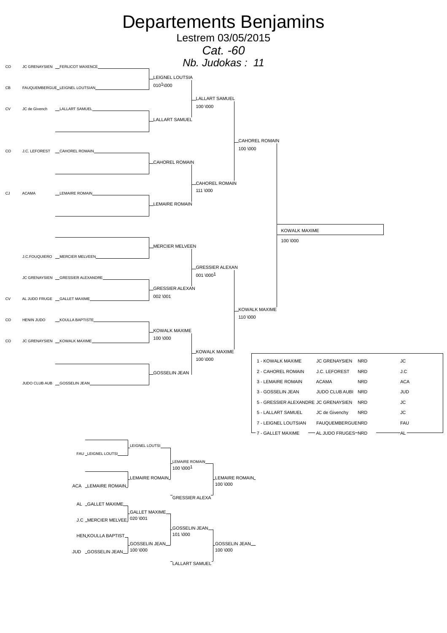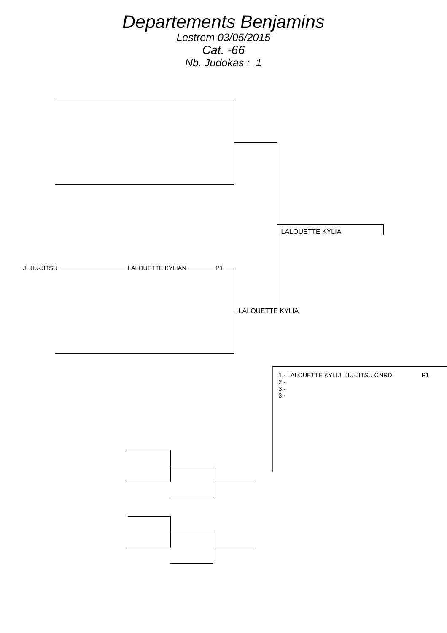